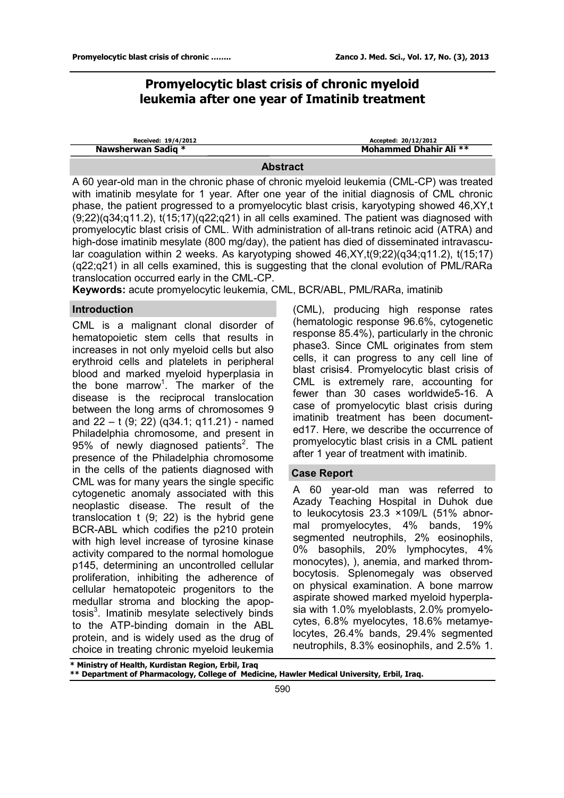# **Promyelocytic blast crisis of chronic myeloid leukemia after one year of Imatinib treatment**

| Received: 19/4/2012 | Accepted: 20/12/2012          |
|---------------------|-------------------------------|
| Nawsherwan Sadiq *  | <b>Mohammed Dhahir Ali **</b> |

## **Abstract**

A 60 year-old man in the chronic phase of chronic myeloid leukemia (CML-CP) was treated with imatinib mesylate for 1 year. After one year of the initial diagnosis of CML chronic phase, the patient progressed to a promyelocytic blast crisis, karyotyping showed 46,XY,t  $(9,22)(q34;q11.2)$ ,  $t(15,17)(q22;q21)$  in all cells examined. The patient was diagnosed with promyelocytic blast crisis of CML. With administration of all-trans retinoic acid (ATRA) and high-dose imatinib mesylate (800 mg/day), the patient has died of disseminated intravascular coagulation within 2 weeks. As karyotyping showed  $46, XY, t(9,22)$ (q34,q11.2), t(15,17) (q22;q21) in all cells examined, this is suggesting that the clonal evolution of PML/RARa translocation occurred early in the CML-CP.

**Keywords:** acute promyelocytic leukemia, CML, BCR/ABL, PML/RARa, imatinib

## **Introduction**

CML is a malignant clonal disorder of hematopoietic stem cells that results in increases in not only myeloid cells but also erythroid cells and platelets in peripheral blood and marked myeloid hyperplasia in the bone marrow<sup>1</sup>. The marker of the disease is the reciprocal translocation between the long arms of chromosomes 9 and  $22 - t$  (9; 22) (q34.1; q11.21) - named Philadelphia chromosome, and present in 95% of newly diagnosed patients<sup>2</sup>. The presence of the Philadelphia chromosome in the cells of the patients diagnosed with CML was for many years the single specific cytogenetic anomaly associated with this neoplastic disease. The result of the translocation t (9; 22) is the hybrid gene BCR-ABL which codifies the p210 protein with high level increase of tyrosine kinase activity compared to the normal homologue p145, determining an uncontrolled cellular proliferation, inhibiting the adherence of cellular hematopoteic progenitors to the medullar stroma and blocking the apoptosis<sup>3</sup>. Imatinib mesylate selectively binds to the ATP-binding domain in the ABL protein, and is widely used as the drug of choice in treating chronic myeloid leukemia

(CML), producing high response rates (hematologic response 96.6%, cytogenetic response 85.4%), particularly in the chronic phase3. Since CML originates from stem cells, it can progress to any cell line of blast crisis4. Promyelocytic blast crisis of CML is extremely rare, accounting for fewer than 30 cases worldwide5-16. A case of promyelocytic blast crisis during imatinib treatment has been documented17. Here, we describe the occurrence of promyelocytic blast crisis in a CML patient after 1 year of treatment with imatinib.

### **Case Report**

A 60 year-old man was referred to Azady Teaching Hospital in Duhok due to leukocytosis 23.3 ×109/L (51% abnormal promyelocytes, 4% bands, 19% segmented neutrophils, 2% eosinophils, 0% basophils, 20% lymphocytes, 4% monocytes), ), anemia, and marked thrombocytosis. Splenomegaly was observed on physical examination. A bone marrow aspirate showed marked myeloid hyperplasia with 1.0% myeloblasts, 2.0% promyelocytes, 6.8% myelocytes, 18.6% metamyelocytes, 26.4% bands, 29.4% segmented neutrophils, 8.3% eosinophils, and 2.5% 1.

**\* Ministry of Health, Kurdistan Region, Erbil, Iraq \*\* Department of Pharmacology, College of Medicine, Hawler Medical University, Erbil, Iraq.**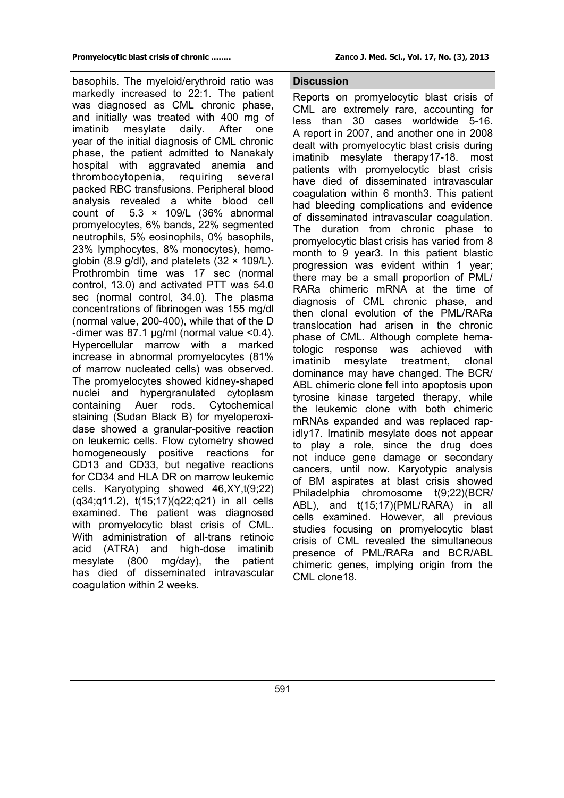basophils. The myeloid/erythroid ratio was markedly increased to 22:1. The patient was diagnosed as CML chronic phase, and initially was treated with 400 mg of imatinib mesylate daily. After one year of the initial diagnosis of CML chronic phase, the patient admitted to Nanakaly hospital with aggravated anemia and thrombocytopenia, requiring several packed RBC transfusions. Peripheral blood analysis revealed a white blood cell count of  $5.3 \times 109/L$  (36% abnormal promyelocytes, 6% bands, 22% segmented neutrophils, 5% eosinophils, 0% basophils, 23% lymphocytes, 8% monocytes), hemoglobin (8.9 g/dl), and platelets  $(32 \times 109$ /L). Prothrombin time was 17 sec (normal control, 13.0) and activated PTT was 54.0 sec (normal control, 34.0). The plasma concentrations of fibrinogen was 155 mg/dl (normal value, 200-400), while that of the D -dimer was  $87.1 \mu g/ml$  (normal value  $< 0.4$ ). Hypercellular marrow with a marked increase in abnormal promyelocytes (81% of marrow nucleated cells) was observed. The promyelocytes showed kidney-shaped nuclei and hypergranulated cytoplasm containing Auer rods. Cytochemical staining (Sudan Black B) for myeloperoxidase showed a granular-positive reaction on leukemic cells. Flow cytometry showed homogeneously positive reactions for CD13 and CD33, but negative reactions for CD34 and HLA DR on marrow leukemic cells. Karyotyping showed 46,XY,t(9;22) (q34;q11.2), t(15;17)(q22;q21) in all cells examined. The patient was diagnosed with promyelocytic blast crisis of CML. With administration of all-trans retinoic acid (ATRA) and high-dose imatinib mesylate (800 mg/day), the patient has died of disseminated intravascular coagulation within 2 weeks.

## **Discussion**

Reports on promyelocytic blast crisis of CML are extremely rare, accounting for less than 30 cases worldwide 5-16. A report in 2007, and another one in 2008 dealt with promyelocytic blast crisis during imatinib mesylate therapy17-18. most patients with promyelocytic blast crisis have died of disseminated intravascular coagulation within 6 month3. This patient had bleeding complications and evidence of disseminated intravascular coagulation. The duration from chronic phase to promyelocytic blast crisis has varied from 8 month to 9 year3. In this patient blastic progression was evident within 1 year; there may be a small proportion of PML/ RARa chimeric mRNA at the time of diagnosis of CML chronic phase, and then clonal evolution of the PML/RARa translocation had arisen in the chronic phase of CML. Although complete hematologic response was achieved with imatinib mesylate treatment, clonal dominance may have changed. The BCR/ ABL chimeric clone fell into apoptosis upon tyrosine kinase targeted therapy, while the leukemic clone with both chimeric mRNAs expanded and was replaced rapidly17. Imatinib mesylate does not appear to play a role, since the drug does not induce gene damage or secondary cancers, until now. Karyotypic analysis of BM aspirates at blast crisis showed Philadelphia chromosome t(9;22)(BCR/ ABL), and t(15;17)(PML/RARA) in all cells examined. However, all previous studies focusing on promyelocytic blast crisis of CML revealed the simultaneous presence of PML/RARa and BCR/ABL chimeric genes, implying origin from the CML clone18.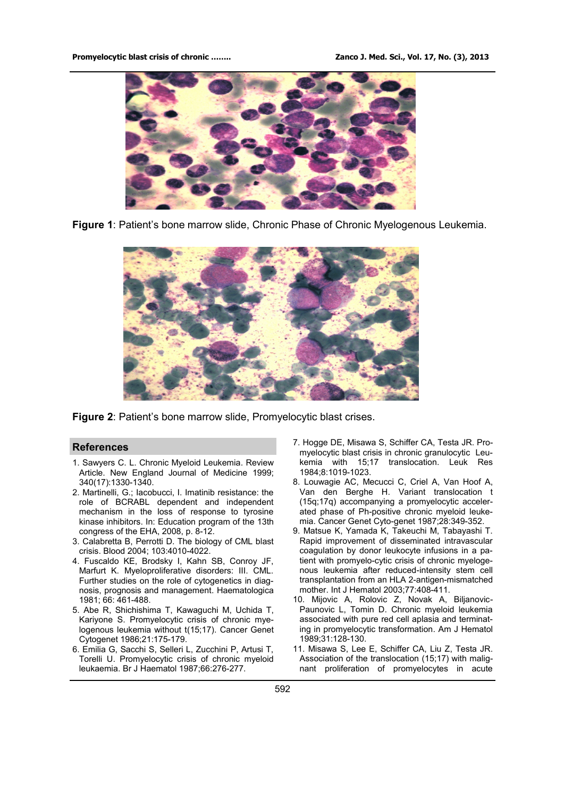

**Figure 1**: Patient's bone marrow slide, Chronic Phase of Chronic Myelogenous Leukemia.



**Figure 2**: Patient's bone marrow slide, Promyelocytic blast crises.

#### **References**

- 1. Sawyers C. L. Chronic Myeloid Leukemia. Review Article. New England Journal of Medicine 1999; 340(17):1330-1340.
- 2. Martinelli, G.; Iacobucci, I. Imatinib resistance: the role of BCRABL dependent and independent mechanism in the loss of response to tyrosine kinase inhibitors. In: Education program of the 13th congress of the EHA, 2008, p. 8-12.
- 3. Calabretta B, Perrotti D. The biology of CML blast crisis. Blood 2004; 103:4010-4022.
- 4. Fuscaldo KE, Brodsky I, Kahn SB, Conroy JF, Marfurt K. Myeloproliferative disorders: III. CML. Further studies on the role of cytogenetics in diagnosis, prognosis and management. Haematologica 1981; 66: 461-488.
- 5. Abe R, Shichishima T, Kawaguchi M, Uchida T, Kariyone S. Promyelocytic crisis of chronic myelogenous leukemia without t(15;17). Cancer Genet Cytogenet 1986;21:175-179.
- 6. Emilia G, Sacchi S, Selleri L, Zucchini P, Artusi T, Torelli U. Promyelocytic crisis of chronic myeloid leukaemia. Br J Haematol 1987;66:276-277.
- 7. Hogge DE, Misawa S, Schiffer CA, Testa JR. Promyelocytic blast crisis in chronic granulocytic Leukemia with 15;17 translocation. Leuk Res 1984;8:1019-1023.
- 8. Louwagie AC, Mecucci C, Criel A, Van Hoof A, Van den Berghe H. Variant translocation t (15q;17q) accompanying a promyelocytic accelerated phase of Ph-positive chronic myeloid leukemia. Cancer Genet Cyto-genet 1987;28:349-352.
- 9. Matsue K, Yamada K, Takeuchi M, Tabayashi T. Rapid improvement of disseminated intravascular coagulation by donor leukocyte infusions in a patient with promyelo-cytic crisis of chronic myelogenous leukemia after reduced-intensity stem cell transplantation from an HLA 2-antigen-mismatched mother. Int J Hematol 2003;77:408-411.
- 10. Mijovic A, Rolovic Z, Novak A, Biljanovic-Paunovic L, Tomin D. Chronic myeloid leukemia associated with pure red cell aplasia and terminating in promyelocytic transformation. Am J Hematol 1989;31:128-130.
- 11. Misawa S, Lee E, Schiffer CA, Liu Z, Testa JR. Association of the translocation (15;17) with malignant proliferation of promyelocytes in acute